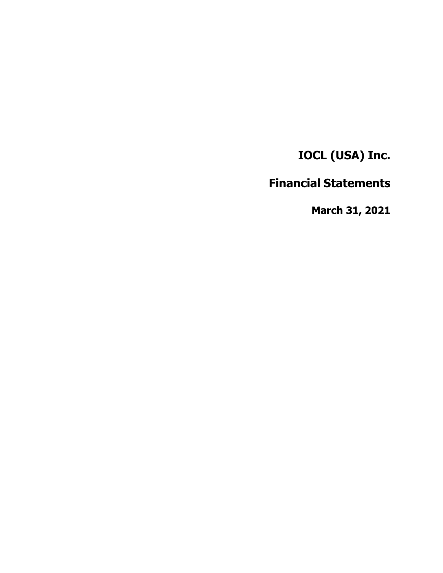**IOCL (USA) Inc.**

# **Financial Statements**

**March 31, 2021**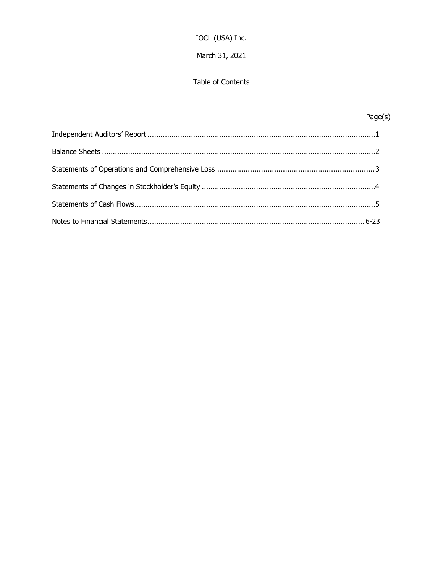## IOCL (USA) Inc.

## March 31, 2021

## Table of Contents

## $Page(s)$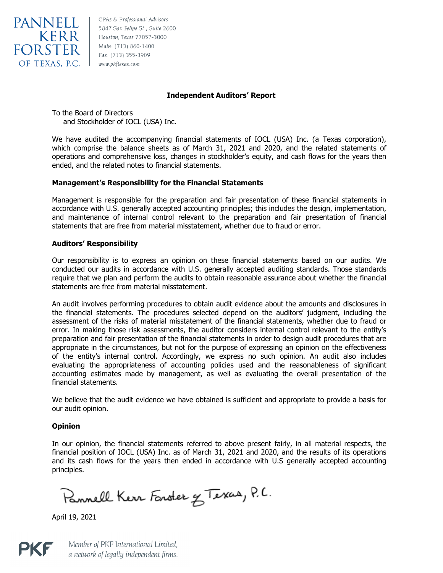

CPAs & Professional Advisors 5847 San Felipe St., Suite 2600 Houston, Texas 77057-3000 Main: (713) 860-1400 Fax: (713) 355-3909 www.pkftexas.com

#### **Independent Auditors' Report**

To the Board of Directors and Stockholder of IOCL (USA) Inc.

We have audited the accompanying financial statements of IOCL (USA) Inc. (a Texas corporation), which comprise the balance sheets as of March 31, 2021 and 2020, and the related statements of operations and comprehensive loss, changes in stockholder's equity, and cash flows for the years then ended, and the related notes to financial statements.

#### **Management's Responsibility for the Financial Statements**

Management is responsible for the preparation and fair presentation of these financial statements in accordance with U.S. generally accepted accounting principles; this includes the design, implementation, and maintenance of internal control relevant to the preparation and fair presentation of financial statements that are free from material misstatement, whether due to fraud or error.

#### **Auditors' Responsibility**

Our responsibility is to express an opinion on these financial statements based on our audits. We conducted our audits in accordance with U.S. generally accepted auditing standards. Those standards require that we plan and perform the audits to obtain reasonable assurance about whether the financial statements are free from material misstatement.

An audit involves performing procedures to obtain audit evidence about the amounts and disclosures in the financial statements. The procedures selected depend on the auditors' judgment, including the assessment of the risks of material misstatement of the financial statements, whether due to fraud or error. In making those risk assessments, the auditor considers internal control relevant to the entity's preparation and fair presentation of the financial statements in order to design audit procedures that are appropriate in the circumstances, but not for the purpose of expressing an opinion on the effectiveness of the entity's internal control. Accordingly, we express no such opinion. An audit also includes evaluating the appropriateness of accounting policies used and the reasonableness of significant accounting estimates made by management, as well as evaluating the overall presentation of the financial statements.

We believe that the audit evidence we have obtained is sufficient and appropriate to provide a basis for our audit opinion.

#### **Opinion**

In our opinion, the financial statements referred to above present fairly, in all material respects, the financial position of IOCL (USA) Inc. as of March 31, 2021 and 2020, and the results of its operations and its cash flows for the years then ended in accordance with U.S generally accepted accounting principles.

Pannell Kerr Forster & Texas, P.C.

April 19, 2021



Member of PKF International Limited, a network of legally independent firms.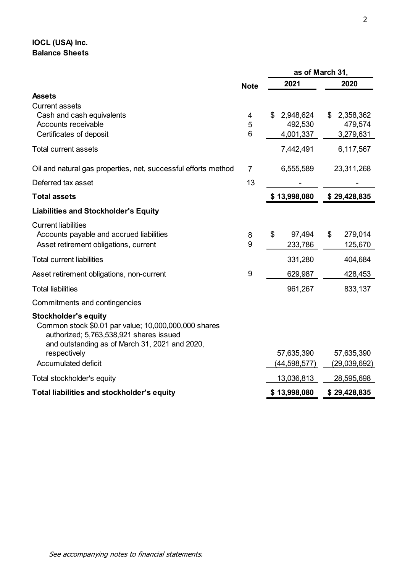# **IOCL (USA) Inc. Balance Sheets**

|                                                                                                                                                   |                | as of March 31, |    |              |
|---------------------------------------------------------------------------------------------------------------------------------------------------|----------------|-----------------|----|--------------|
|                                                                                                                                                   | <b>Note</b>    | 2021            |    | 2020         |
| <b>Assets</b>                                                                                                                                     |                |                 |    |              |
| <b>Current assets</b>                                                                                                                             |                |                 |    |              |
| Cash and cash equivalents                                                                                                                         | 4              | \$<br>2,948,624 | \$ | 2,358,362    |
| Accounts receivable                                                                                                                               | 5              | 492,530         |    | 479,574      |
| Certificates of deposit                                                                                                                           | 6              | 4,001,337       |    | 3,279,631    |
| <b>Total current assets</b>                                                                                                                       |                | 7,442,491       |    | 6,117,567    |
| Oil and natural gas properties, net, successful efforts method                                                                                    | $\overline{7}$ | 6,555,589       |    | 23,311,268   |
| Deferred tax asset                                                                                                                                | 13             |                 |    |              |
| <b>Total assets</b>                                                                                                                               |                | \$13,998,080    |    | \$29,428,835 |
| <b>Liabilities and Stockholder's Equity</b>                                                                                                       |                |                 |    |              |
| <b>Current liabilities</b>                                                                                                                        |                |                 |    |              |
| Accounts payable and accrued liabilities                                                                                                          | 8              | \$<br>97,494    | \$ | 279,014      |
| Asset retirement obligations, current                                                                                                             | 9              | 233,786         |    | 125,670      |
| <b>Total current liabilities</b>                                                                                                                  |                | 331,280         |    | 404,684      |
| Asset retirement obligations, non-current                                                                                                         | 9              | 629,987         |    | 428,453      |
| <b>Total liabilities</b>                                                                                                                          |                | 961,267         |    | 833,137      |
| Commitments and contingencies                                                                                                                     |                |                 |    |              |
| <b>Stockholder's equity</b>                                                                                                                       |                |                 |    |              |
| Common stock \$0.01 par value; 10,000,000,000 shares<br>authorized; 5,763,538,921 shares issued<br>and outstanding as of March 31, 2021 and 2020, |                |                 |    |              |
| respectively                                                                                                                                      |                | 57,635,390      |    | 57,635,390   |
| <b>Accumulated deficit</b>                                                                                                                        |                | (44, 598, 577)  |    | (29,039,692) |
| Total stockholder's equity                                                                                                                        |                | 13,036,813      |    | 28,595,698   |
| Total liabilities and stockholder's equity                                                                                                        |                | \$13,998,080    |    | \$29,428,835 |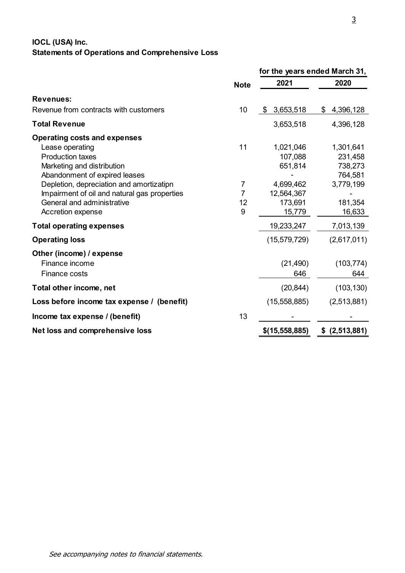# **IOCL (USA) Inc. Statements of Operations and Comprehensive Loss**

|                                                                |                  | for the years ended March 31, |
|----------------------------------------------------------------|------------------|-------------------------------|
| <b>Note</b>                                                    | 2021             | 2020                          |
| <b>Revenues:</b>                                               |                  |                               |
| 10<br>Revenue from contracts with customers                    | 3,653,518<br>\$  | 4,396,128<br>\$               |
| <b>Total Revenue</b>                                           | 3,653,518        | 4,396,128                     |
| <b>Operating costs and expenses</b>                            |                  |                               |
| 11<br>Lease operating                                          | 1,021,046        | 1,301,641                     |
| <b>Production taxes</b>                                        | 107,088          | 231,458                       |
| Marketing and distribution                                     | 651,814          | 738,273                       |
| Abandonment of expired leases                                  |                  | 764,581                       |
| Depletion, depreciation and amortizatipn<br>7                  | 4,699,462        | 3,779,199                     |
| Impairment of oil and natural gas properties<br>$\overline{7}$ | 12,564,367       |                               |
| General and administrative<br>12                               | 173,691          | 181,354                       |
| 9<br>Accretion expense                                         | 15,779           | 16,633                        |
| <b>Total operating expenses</b>                                | 19,233,247       | 7,013,139                     |
| <b>Operating loss</b>                                          | (15, 579, 729)   | (2,617,011)                   |
| Other (income) / expense                                       |                  |                               |
| Finance income                                                 | (21, 490)        | (103, 774)                    |
| <b>Finance costs</b>                                           | 646              | 644                           |
| Total other income, net                                        | (20, 844)        | (103, 130)                    |
| Loss before income tax expense / (benefit)                     | (15, 558, 885)   | (2,513,881)                   |
| 13<br>Income tax expense / (benefit)                           |                  |                               |
| Net loss and comprehensive loss                                | $$$ (15,558,885) | (2,513,881)<br>\$             |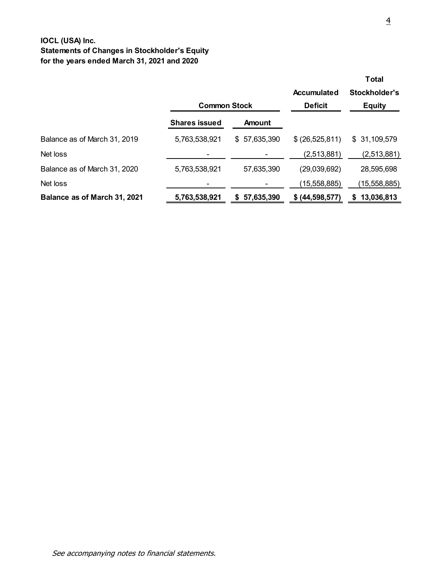## **IOCL (USA) Inc. Statements of Changes in Stockholder's Equity for the years ended March 31, 2021 and 2020**

|                              |                      |                  |                   | <b>Total</b>     |
|------------------------------|----------------------|------------------|-------------------|------------------|
|                              |                      |                  | Accumulated       | Stockholder's    |
|                              | <b>Common Stock</b>  |                  | <b>Deficit</b>    | <b>Equity</b>    |
|                              | <b>Shares issued</b> | Amount           |                   |                  |
| Balance as of March 31, 2019 | 5,763,538,921        | \$57,635,390     | \$ (26, 525, 811) | \$31,109,579     |
| Net loss                     |                      |                  | (2,513,881)       | (2,513,881)      |
| Balance as of March 31, 2020 | 5,763,538,921        | 57,635,390       | (29,039,692)      | 28,595,698       |
| Net loss                     |                      |                  | (15,558,885)      | (15, 558, 885)   |
| Balance as of March 31, 2021 | 5,763,538,921        | 57,635,390<br>S. | \$ (44,598,577)   | 13,036,813<br>S. |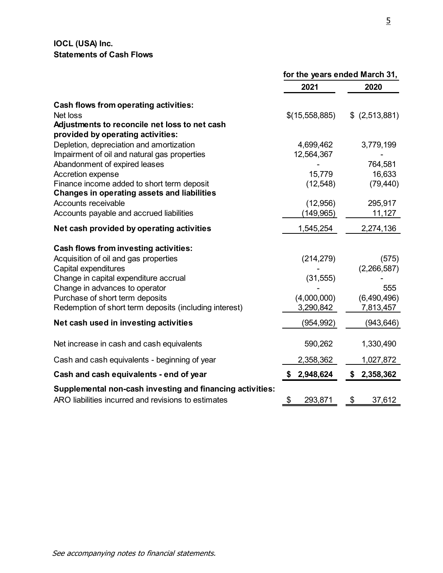## **IOCL (USA) Inc. Statements of Cash Flows**

|                                                           | for the years ended March 31, |                 |  |
|-----------------------------------------------------------|-------------------------------|-----------------|--|
|                                                           | 2021                          | 2020            |  |
| <b>Cash flows from operating activities:</b>              |                               |                 |  |
| Net loss                                                  | \$(15,558,885)                | $$$ (2,513,881) |  |
| Adjustments to reconcile net loss to net cash             |                               |                 |  |
| provided by operating activities:                         |                               |                 |  |
| Depletion, depreciation and amortization                  | 4,699,462                     | 3,779,199       |  |
| Impairment of oil and natural gas properties              | 12,564,367                    |                 |  |
| Abandonment of expired leases                             |                               | 764,581         |  |
| Accretion expense                                         | 15,779                        | 16,633          |  |
| Finance income added to short term deposit                | (12, 548)                     | (79, 440)       |  |
| <b>Changes in operating assets and liabilities</b>        |                               |                 |  |
| Accounts receivable                                       | (12, 956)                     | 295,917         |  |
| Accounts payable and accrued liabilities                  | (149, 965)                    | 11,127          |  |
| Net cash provided by operating activities                 | 1,545,254                     | 2,274,136       |  |
| <b>Cash flows from investing activities:</b>              |                               |                 |  |
| Acquisition of oil and gas properties                     | (214, 279)                    | (575)           |  |
| Capital expenditures                                      |                               | (2,266,587)     |  |
| Change in capital expenditure accrual                     | (31, 555)                     |                 |  |
| Change in advances to operator                            |                               | 555             |  |
| Purchase of short term deposits                           | (4,000,000)                   | (6,490,496)     |  |
| Redemption of short term deposits (including interest)    | 3,290,842                     | 7,813,457       |  |
| Net cash used in investing activities                     | (954, 992)                    | (943, 646)      |  |
| Net increase in cash and cash equivalents                 | 590,262                       | 1,330,490       |  |
| Cash and cash equivalents - beginning of year             | 2,358,362                     | 1,027,872       |  |
| Cash and cash equivalents - end of year                   | 2,948,624<br>\$               | \$2,358,362     |  |
| Supplemental non-cash investing and financing activities: |                               |                 |  |
| ARO liabilities incurred and revisions to estimates       | \$<br>293,871                 | \$<br>37,612    |  |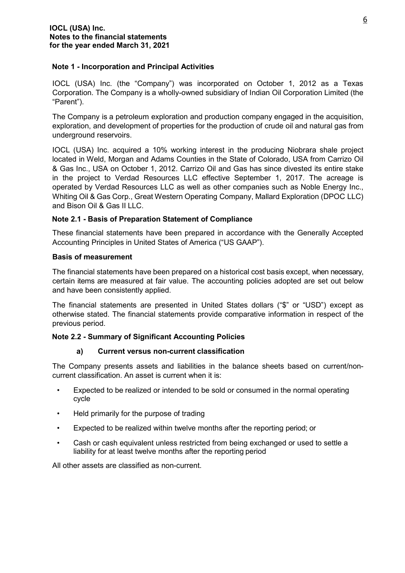#### **Note 1 - Incorporation and Principal Activities**

IOCL (USA) Inc. (the "Company") was incorporated on October 1, 2012 as a Texas Corporation. The Company is a wholly-owned subsidiary of Indian Oil Corporation Limited (the "Parent").

The Company is a petroleum exploration and production company engaged in the acquisition, exploration, and development of properties for the production of crude oil and natural gas from underground reservoirs.

IOCL (USA) Inc. acquired a 10% working interest in the producing Niobrara shale project located in Weld, Morgan and Adams Counties in the State of Colorado, USA from Carrizo Oil & Gas Inc., USA on October 1, 2012. Carrizo Oil and Gas has since divested its entire stake in the project to Verdad Resources LLC effective September 1, 2017. The acreage is operated by Verdad Resources LLC as well as other companies such as Noble Energy Inc., Whiting Oil & Gas Corp., Great Western Operating Company, Mallard Exploration (DPOC LLC) and Bison Oil & Gas II LLC.

## **Note 2.1 - Basis of Preparation Statement of Compliance**

These financial statements have been prepared in accordance with the Generally Accepted Accounting Principles in United States of America ("US GAAP").

#### **Basis of measurement**

The financial statements have been prepared on a historical cost basis except, when necessary, certain items are measured at fair value. The accounting policies adopted are set out below and have been consistently applied.

The financial statements are presented in United States dollars ("\$" or "USD") except as otherwise stated. The financial statements provide comparative information in respect of the previous period.

## **Note 2.2 - Summary of Significant Accounting Policies**

## **a) Current versus non-current classification**

The Company presents assets and liabilities in the balance sheets based on current/noncurrent classification. An asset is current when it is:

- Expected to be realized or intended to be sold or consumed in the normal operating cycle
- Held primarily for the purpose of trading
- Expected to be realized within twelve months after the reporting period; or
- Cash or cash equivalent unless restricted from being exchanged or used to settle a liability for at least twelve months after the reporting period

All other assets are classified as non-current.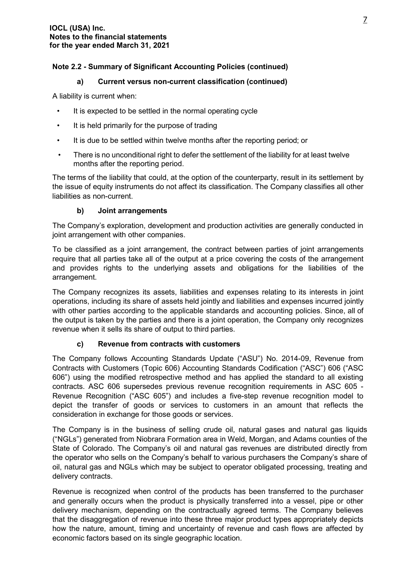## **a) Current versus non-current classification (continued)**

A liability is current when:

- It is expected to be settled in the normal operating cycle
- It is held primarily for the purpose of trading
- It is due to be settled within twelve months after the reporting period; or
- There is no unconditional right to defer the settlement of the liability for at least twelve months after the reporting period.

The terms of the liability that could, at the option of the counterparty, result in its settlement by the issue of equity instruments do not affect its classification. The Company classifies all other liabilities as non-current.

## **b) Joint arrangements**

The Company's exploration, development and production activities are generally conducted in joint arrangement with other companies.

To be classified as a joint arrangement, the contract between parties of joint arrangements require that all parties take all of the output at a price covering the costs of the arrangement and provides rights to the underlying assets and obligations for the liabilities of the arrangement.

The Company recognizes its assets, liabilities and expenses relating to its interests in joint operations, including its share of assets held jointly and liabilities and expenses incurred jointly with other parties according to the applicable standards and accounting policies. Since, all of the output is taken by the parties and there is a joint operation, the Company only recognizes revenue when it sells its share of output to third parties.

## **c) Revenue from contracts with customers**

The Company follows Accounting Standards Update ("ASU") No. 2014-09, Revenue from Contracts with Customers (Topic 606) Accounting Standards Codification ("ASC") 606 ("ASC 606") using the modified retrospective method and has applied the standard to all existing contracts. ASC 606 supersedes previous revenue recognition requirements in ASC 605 - Revenue Recognition ("ASC 605") and includes a five-step revenue recognition model to depict the transfer of goods or services to customers in an amount that reflects the consideration in exchange for those goods or services.

The Company is in the business of selling crude oil, natural gases and natural gas liquids ("NGLs") generated from Niobrara Formation area in Weld, Morgan, and Adams counties of the State of Colorado. The Company's oil and natural gas revenues are distributed directly from the operator who sells on the Company's behalf to various purchasers the Company's share of oil, natural gas and NGLs which may be subject to operator obligated processing, treating and delivery contracts.

Revenue is recognized when control of the products has been transferred to the purchaser and generally occurs when the product is physically transferred into a vessel, pipe or other delivery mechanism, depending on the contractually agreed terms. The Company believes that the disaggregation of revenue into these three major product types appropriately depicts how the nature, amount, timing and uncertainty of revenue and cash flows are affected by economic factors based on its single geographic location.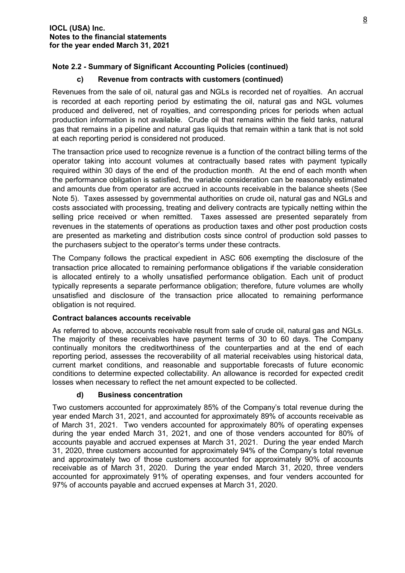#### **c) Revenue from contracts with customers (continued)**

Revenues from the sale of oil, natural gas and NGLs is recorded net of royalties. An accrual is recorded at each reporting period by estimating the oil, natural gas and NGL volumes produced and delivered, net of royalties, and corresponding prices for periods when actual production information is not available. Crude oil that remains within the field tanks, natural gas that remains in a pipeline and natural gas liquids that remain within a tank that is not sold at each reporting period is considered not produced.

The transaction price used to recognize revenue is a function of the contract billing terms of the operator taking into account volumes at contractually based rates with payment typically required within 30 days of the end of the production month. At the end of each month when the performance obligation is satisfied, the variable consideration can be reasonably estimated and amounts due from operator are accrued in accounts receivable in the balance sheets (See Note 5). Taxes assessed by governmental authorities on crude oil, natural gas and NGLs and costs associated with processing, treating and delivery contracts are typically netting within the selling price received or when remitted. Taxes assessed are presented separately from revenues in the statements of operations as production taxes and other post production costs are presented as marketing and distribution costs since control of production sold passes to the purchasers subject to the operator's terms under these contracts.

The Company follows the practical expedient in ASC 606 exempting the disclosure of the transaction price allocated to remaining performance obligations if the variable consideration is allocated entirely to a wholly unsatisfied performance obligation. Each unit of product typically represents a separate performance obligation; therefore, future volumes are wholly unsatisfied and disclosure of the transaction price allocated to remaining performance obligation is not required.

#### **Contract balances accounts receivable**

As referred to above, accounts receivable result from sale of crude oil, natural gas and NGLs. The majority of these receivables have payment terms of 30 to 60 days. The Company continually monitors the creditworthiness of the counterparties and at the end of each reporting period, assesses the recoverability of all material receivables using historical data, current market conditions, and reasonable and supportable forecasts of future economic conditions to determine expected collectability. An allowance is recorded for expected credit losses when necessary to reflect the net amount expected to be collected.

#### **d) Business concentration**

Two customers accounted for approximately 85% of the Company's total revenue during the year ended March 31, 2021, and accounted for approximately 89% of accounts receivable as of March 31, 2021. Two venders accounted for approximately 80% of operating expenses during the year ended March 31, 2021, and one of those venders accounted for 80% of accounts payable and accrued expenses at March 31, 2021. During the year ended March 31, 2020, three customers accounted for approximately 94% of the Company's total revenue and approximately two of those customers accounted for approximately 90% of accounts receivable as of March 31, 2020. During the year ended March 31, 2020, three venders accounted for approximately 91% of operating expenses, and four venders accounted for 97% of accounts payable and accrued expenses at March 31, 2020.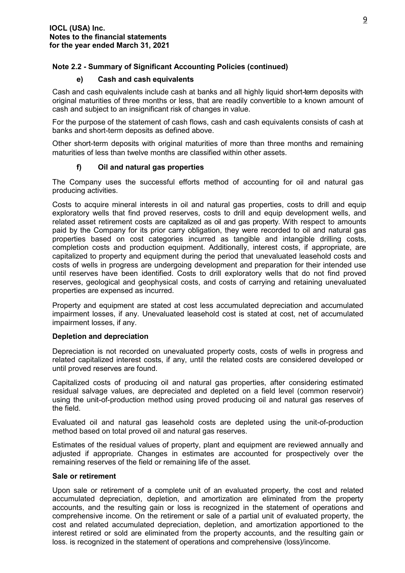#### **e) Cash and cash equivalents**

Cash and cash equivalents include cash at banks and all highly liquid short-term deposits with original maturities of three months or less, that are readily convertible to a known amount of cash and subject to an insignificant risk of changes in value.

For the purpose of the statement of cash flows, cash and cash equivalents consists of cash at banks and short-term deposits as defined above.

Other short-term deposits with original maturities of more than three months and remaining maturities of less than twelve months are classified within other assets.

## **f) Oil and natural gas properties**

The Company uses the successful efforts method of accounting for oil and natural gas producing activities.

Costs to acquire mineral interests in oil and natural gas properties, costs to drill and equip exploratory wells that find proved reserves, costs to drill and equip development wells, and related asset retirement costs are capitalized as oil and gas property. With respect to amounts paid by the Company for its prior carry obligation, they were recorded to oil and natural gas properties based on cost categories incurred as tangible and intangible drilling costs, completion costs and production equipment. Additionally, interest costs, if appropriate, are capitalized to property and equipment during the period that unevaluated leasehold costs and costs of wells in progress are undergoing development and preparation for their intended use until reserves have been identified. Costs to drill exploratory wells that do not find proved reserves, geological and geophysical costs, and costs of carrying and retaining unevaluated properties are expensed as incurred.

Property and equipment are stated at cost less accumulated depreciation and accumulated impairment losses, if any. Unevaluated leasehold cost is stated at cost, net of accumulated impairment losses, if any.

#### **Depletion and depreciation**

Depreciation is not recorded on unevaluated property costs, costs of wells in progress and related capitalized interest costs, if any, until the related costs are considered developed or until proved reserves are found.

Capitalized costs of producing oil and natural gas properties, after considering estimated residual salvage values, are depreciated and depleted on a field level (common reservoir) using the unit-of-production method using proved producing oil and natural gas reserves of the field.

Evaluated oil and natural gas leasehold costs are depleted using the unit-of-production method based on total proved oil and natural gas reserves.

Estimates of the residual values of property, plant and equipment are reviewed annually and adjusted if appropriate. Changes in estimates are accounted for prospectively over the remaining reserves of the field or remaining life of the asset.

#### **Sale or retirement**

Upon sale or retirement of a complete unit of an evaluated property, the cost and related accumulated depreciation, depletion, and amortization are eliminated from the property accounts, and the resulting gain or loss is recognized in the statement of operations and comprehensive income. On the retirement or sale of a partial unit of evaluated property, the cost and related accumulated depreciation, depletion, and amortization apportioned to the interest retired or sold are eliminated from the property accounts, and the resulting gain or loss. is recognized in the statement of operations and comprehensive (loss)/income.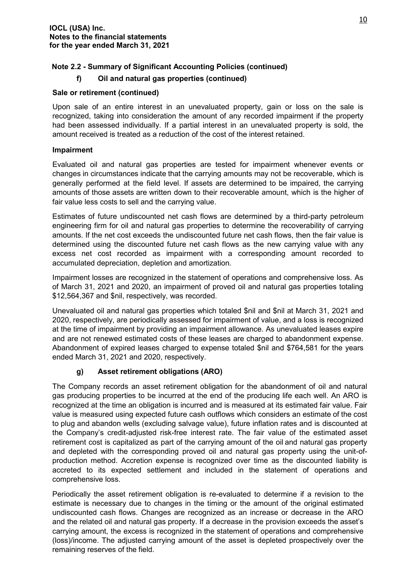## **f) Oil and natural gas properties (continued)**

## **Sale or retirement (continued)**

Upon sale of an entire interest in an unevaluated property, gain or loss on the sale is recognized, taking into consideration the amount of any recorded impairment if the property had been assessed individually. If a partial interest in an unevaluated property is sold, the amount received is treated as a reduction of the cost of the interest retained.

## **Impairment**

Evaluated oil and natural gas properties are tested for impairment whenever events or changes in circumstances indicate that the carrying amounts may not be recoverable, which is generally performed at the field level. If assets are determined to be impaired, the carrying amounts of those assets are written down to their recoverable amount, which is the higher of fair value less costs to sell and the carrying value.

Estimates of future undiscounted net cash flows are determined by a third-party petroleum engineering firm for oil and natural gas properties to determine the recoverability of carrying amounts. If the net cost exceeds the undiscounted future net cash flows, then the fair value is determined using the discounted future net cash flows as the new carrying value with any excess net cost recorded as impairment with a corresponding amount recorded to accumulated depreciation, depletion and amortization.

Impairment losses are recognized in the statement of operations and comprehensive loss. As of March 31, 2021 and 2020, an impairment of proved oil and natural gas properties totaling \$12,564,367 and \$nil, respectively, was recorded.

Unevaluated oil and natural gas properties which totaled \$nil and \$nil at March 31, 2021 and 2020, respectively, are periodically assessed for impairment of value, and a loss is recognized at the time of impairment by providing an impairment allowance. As unevaluated leases expire and are not renewed estimated costs of these leases are charged to abandonment expense. Abandonment of expired leases charged to expense totaled \$nil and \$764,581 for the years ended March 31, 2021 and 2020, respectively.

## **g) Asset retirement obligations (ARO)**

The Company records an asset retirement obligation for the abandonment of oil and natural gas producing properties to be incurred at the end of the producing life each well. An ARO is recognized at the time an obligation is incurred and is measured at its estimated fair value. Fair value is measured using expected future cash outflows which considers an estimate of the cost to plug and abandon wells (excluding salvage value), future inflation rates and is discounted at the Company's credit-adjusted risk-free interest rate. The fair value of the estimated asset retirement cost is capitalized as part of the carrying amount of the oil and natural gas property and depleted with the corresponding proved oil and natural gas property using the unit-ofproduction method. Accretion expense is recognized over time as the discounted liability is accreted to its expected settlement and included in the statement of operations and comprehensive loss.

Periodically the asset retirement obligation is re-evaluated to determine if a revision to the estimate is necessary due to changes in the timing or the amount of the original estimated undiscounted cash flows. Changes are recognized as an increase or decrease in the ARO and the related oil and natural gas property. If a decrease in the provision exceeds the asset's carrying amount, the excess is recognized in the statement of operations and comprehensive (loss)/income. The adjusted carrying amount of the asset is depleted prospectively over the remaining reserves of the field.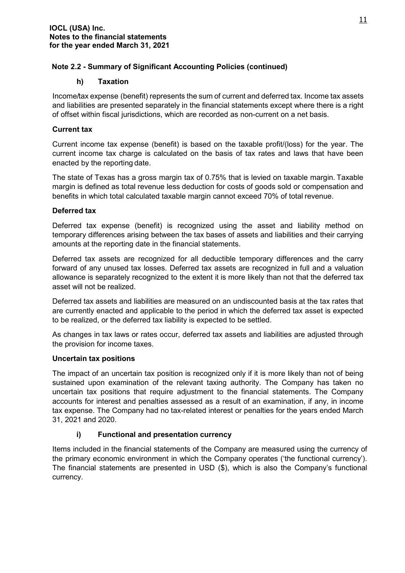#### **h) Taxation**

Income/tax expense (benefit) represents the sum of current and deferred tax. Income tax assets and liabilities are presented separately in the financial statements except where there is a right of offset within fiscal jurisdictions, which are recorded as non-current on a net basis.

#### **Current tax**

Current income tax expense (benefit) is based on the taxable profit/(loss) for the year. The current income tax charge is calculated on the basis of tax rates and laws that have been enacted by the reporting date.

The state of Texas has a gross margin tax of 0.75% that is levied on taxable margin. Taxable margin is defined as total revenue less deduction for costs of goods sold or compensation and benefits in which total calculated taxable margin cannot exceed 70% of total revenue.

#### **Deferred tax**

Deferred tax expense (benefit) is recognized using the asset and liability method on temporary differences arising between the tax bases of assets and liabilities and their carrying amounts at the reporting date in the financial statements.

Deferred tax assets are recognized for all deductible temporary differences and the carry forward of any unused tax losses. Deferred tax assets are recognized in full and a valuation allowance is separately recognized to the extent it is more likely than not that the deferred tax asset will not be realized.

Deferred tax assets and liabilities are measured on an undiscounted basis at the tax rates that are currently enacted and applicable to the period in which the deferred tax asset is expected to be realized, or the deferred tax liability is expected to be settled.

As changes in tax laws or rates occur, deferred tax assets and liabilities are adjusted through the provision for income taxes.

#### **Uncertain tax positions**

The impact of an uncertain tax position is recognized only if it is more likely than not of being sustained upon examination of the relevant taxing authority. The Company has taken no uncertain tax positions that require adjustment to the financial statements. The Company accounts for interest and penalties assessed as a result of an examination, if any, in income tax expense. The Company had no tax-related interest or penalties for the years ended March 31, 2021 and 2020.

#### **i) Functional and presentation currency**

Items included in the financial statements of the Company are measured using the currency of the primary economic environment in which the Company operates ('the functional currency'). The financial statements are presented in USD (\$), which is also the Company's functional currency.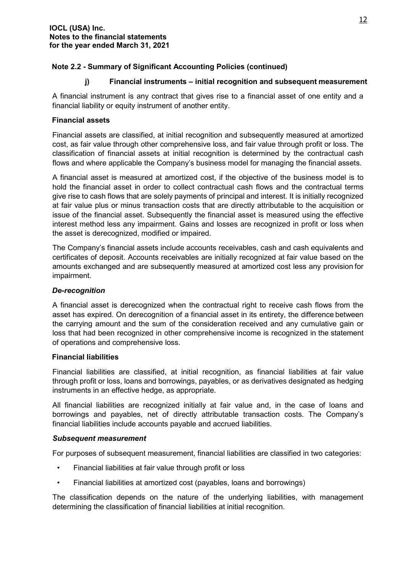#### **j) Financial instruments – initial recognition and subsequent measurement**

A financial instrument is any contract that gives rise to a financial asset of one entity and a financial liability or equity instrument of another entity.

#### **Financial assets**

Financial assets are classified, at initial recognition and subsequently measured at amortized cost, as fair value through other comprehensive loss, and fair value through profit or loss. The classification of financial assets at initial recognition is determined by the contractual cash flows and where applicable the Company's business model for managing the financial assets.

A financial asset is measured at amortized cost, if the objective of the business model is to hold the financial asset in order to collect contractual cash flows and the contractual terms give rise to cash flows that are solely payments of principal and interest. It is initially recognized at fair value plus or minus transaction costs that are directly attributable to the acquisition or issue of the financial asset. Subsequently the financial asset is measured using the effective interest method less any impairment. Gains and losses are recognized in profit or loss when the asset is derecognized, modified or impaired.

The Company's financial assets include accounts receivables, cash and cash equivalents and certificates of deposit. Accounts receivables are initially recognized at fair value based on the amounts exchanged and are subsequently measured at amortized cost less any provision for impairment.

#### *De-recognition*

A financial asset is derecognized when the contractual right to receive cash flows from the asset has expired. On derecognition of a financial asset in its entirety, the difference between the carrying amount and the sum of the consideration received and any cumulative gain or loss that had been recognized in other comprehensive income is recognized in the statement of operations and comprehensive loss.

#### **Financial liabilities**

Financial liabilities are classified, at initial recognition, as financial liabilities at fair value through profit or loss, loans and borrowings, payables, or as derivatives designated as hedging instruments in an effective hedge, as appropriate.

All financial liabilities are recognized initially at fair value and, in the case of loans and borrowings and payables, net of directly attributable transaction costs. The Company's financial liabilities include accounts payable and accrued liabilities.

#### *Subsequent measurement*

For purposes of subsequent measurement, financial liabilities are classified in two categories:

- Financial liabilities at fair value through profit or loss
- Financial liabilities at amortized cost (payables, loans and borrowings)

The classification depends on the nature of the underlying liabilities, with management determining the classification of financial liabilities at initial recognition.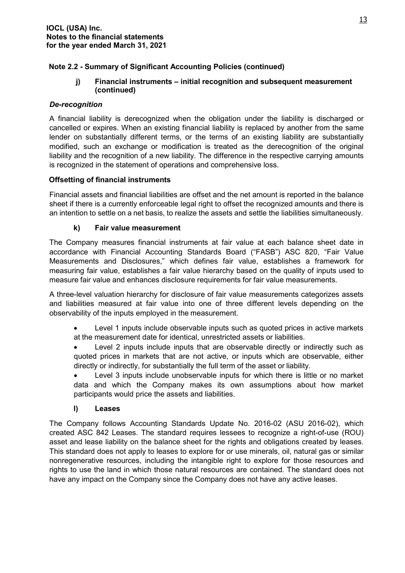## **j) Financial instruments – initial recognition and subsequent measurement (continued)**

## *De-recognition*

A financial liability is derecognized when the obligation under the liability is discharged or cancelled or expires. When an existing financial liability is replaced by another from the same lender on substantially different terms, or the terms of an existing liability are substantially modified, such an exchange or modification is treated as the derecognition of the original liability and the recognition of a new liability. The difference in the respective carrying amounts is recognized in the statement of operations and comprehensive loss.

## **Offsetting of financial instruments**

Financial assets and financial liabilities are offset and the net amount is reported in the balance sheet if there is a currently enforceable legal right to offset the recognized amounts and there is an intention to settle on a net basis, to realize the assets and settle the liabilities simultaneously.

## **k) Fair value measurement**

The Company measures financial instruments at fair value at each balance sheet date in accordance with Financial Accounting Standards Board ("FASB") ASC 820, "Fair Value Measurements and Disclosures," which defines fair value, establishes a framework for measuring fair value, establishes a fair value hierarchy based on the quality of inputs used to measure fair value and enhances disclosure requirements for fair value measurements.

A three-level valuation hierarchy for disclosure of fair value measurements categorizes assets and liabilities measured at fair value into one of three different levels depending on the observability of the inputs employed in the measurement.

- Level 1 inputs include observable inputs such as quoted prices in active markets at the measurement date for identical, unrestricted assets or liabilities.
- Level 2 inputs include inputs that are observable directly or indirectly such as quoted prices in markets that are not active, or inputs which are observable, either directly or indirectly, for substantially the full term of the asset or liability.

Level 3 inputs include unobservable inputs for which there is little or no market data and which the Company makes its own assumptions about how market participants would price the assets and liabilities.

#### **l) Leases**

The Company follows Accounting Standards Update No. 2016-02 (ASU 2016-02), which created ASC 842 Leases. The standard requires lessees to recognize a right-of-use (ROU) asset and lease liability on the balance sheet for the rights and obligations created by leases. This standard does not apply to leases to explore for or use minerals, oil, natural gas or similar nonregenerative resources, including the intangible right to explore for those resources and rights to use the land in which those natural resources are contained. The standard does not have any impact on the Company since the Company does not have any active leases.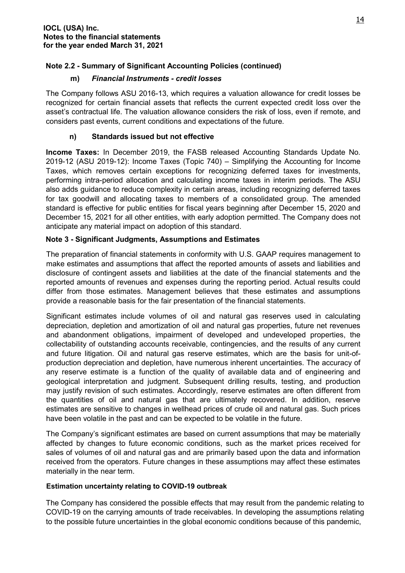## **m)** *Financial Instruments - credit losses*

The Company follows ASU 2016-13, which requires a valuation allowance for credit losses be recognized for certain financial assets that reflects the current expected credit loss over the asset's contractual life. The valuation allowance considers the risk of loss, even if remote, and considers past events, current conditions and expectations of the future.

## **n) Standards issued but not effective**

**Income Taxes:** In December 2019, the FASB released Accounting Standards Update No. 2019-12 (ASU 2019-12): Income Taxes (Topic 740) – Simplifying the Accounting for Income Taxes, which removes certain exceptions for recognizing deferred taxes for investments, performing intra-period allocation and calculating income taxes in interim periods. The ASU also adds guidance to reduce complexity in certain areas, including recognizing deferred taxes for tax goodwill and allocating taxes to members of a consolidated group. The amended standard is effective for public entities for fiscal years beginning after December 15, 2020 and December 15, 2021 for all other entities, with early adoption permitted. The Company does not anticipate any material impact on adoption of this standard.

## **Note 3 - Significant Judgments, Assumptions and Estimates**

The preparation of financial statements in conformity with U.S. GAAP requires management to make estimates and assumptions that affect the reported amounts of assets and liabilities and disclosure of contingent assets and liabilities at the date of the financial statements and the reported amounts of revenues and expenses during the reporting period. Actual results could differ from those estimates. Management believes that these estimates and assumptions provide a reasonable basis for the fair presentation of the financial statements.

Significant estimates include volumes of oil and natural gas reserves used in calculating depreciation, depletion and amortization of oil and natural gas properties, future net revenues and abandonment obligations, impairment of developed and undeveloped properties, the collectability of outstanding accounts receivable, contingencies, and the results of any current and future litigation. Oil and natural gas reserve estimates, which are the basis for unit-ofproduction depreciation and depletion, have numerous inherent uncertainties. The accuracy of any reserve estimate is a function of the quality of available data and of engineering and geological interpretation and judgment. Subsequent drilling results, testing, and production may justify revision of such estimates. Accordingly, reserve estimates are often different from the quantities of oil and natural gas that are ultimately recovered. In addition, reserve estimates are sensitive to changes in wellhead prices of crude oil and natural gas. Such prices have been volatile in the past and can be expected to be volatile in the future.

The Company's significant estimates are based on current assumptions that may be materially affected by changes to future economic conditions, such as the market prices received for sales of volumes of oil and natural gas and are primarily based upon the data and information received from the operators. Future changes in these assumptions may affect these estimates materially in the near term.

#### **Estimation uncertainty relating to COVID-19 outbreak**

The Company has considered the possible effects that may result from the pandemic relating to COVID-19 on the carrying amounts of trade receivables. In developing the assumptions relating to the possible future uncertainties in the global economic conditions because of this pandemic,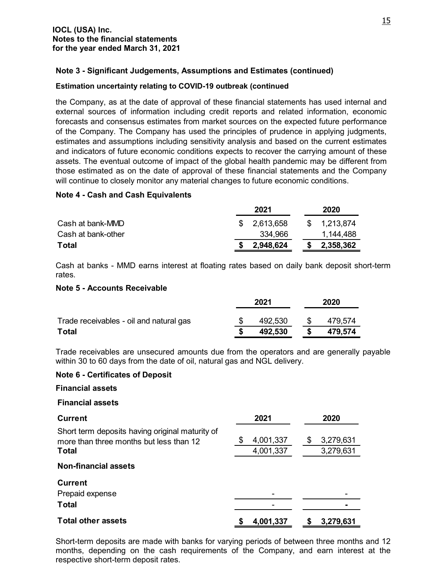#### **Note 3 - Significant Judgements, Assumptions and Estimates (continued)**

#### **Estimation uncertainty relating to COVID-19 outbreak (continued**

the Company, as at the date of approval of these financial statements has used internal and external sources of information including credit reports and related information, economic forecasts and consensus estimates from market sources on the expected future performance of the Company. The Company has used the principles of prudence in applying judgments, estimates and assumptions including sensitivity analysis and based on the current estimates and indicators of future economic conditions expects to recover the carrying amount of these assets. The eventual outcome of impact of the global health pandemic may be different from those estimated as on the date of approval of these financial statements and the Company will continue to closely monitor any material changes to future economic conditions.

#### **Note 4 - Cash and Cash Equivalents**

|                    |    | 2020      |           |
|--------------------|----|-----------|-----------|
| Cash at bank-MMD   | S. | 2,613,658 | 1,213,874 |
| Cash at bank-other |    | 334,966   | 1,144,488 |
| Total              |    | 2,948,624 | 2,358,362 |

Cash at banks - MMD earns interest at floating rates based on daily bank deposit short-term rates.

#### **Note 5 - Accounts Receivable**

|                                         | 2021 |         | 2020 |         |  |
|-----------------------------------------|------|---------|------|---------|--|
| Trade receivables - oil and natural gas |      | 492,530 |      | 479.574 |  |
| Total                                   |      | 492,530 |      | 479.574 |  |

Trade receivables are unsecured amounts due from the operators and are generally payable within 30 to 60 days from the date of oil, natural gas and NGL delivery.

#### **Note 6 - Certificates of Deposit**

#### **Financial assets**

#### **Financial assets**

| <b>Current</b>                                                                                             | 2021                   | 2020                         |
|------------------------------------------------------------------------------------------------------------|------------------------|------------------------------|
| Short term deposits having original maturity of<br>more than three months but less than 12<br><b>Total</b> | 4,001,337<br>4,001,337 | 3,279,631<br>\$<br>3,279,631 |
| <b>Non-financial assets</b>                                                                                |                        |                              |
| <b>Current</b>                                                                                             |                        |                              |
| Prepaid expense                                                                                            |                        |                              |
| <b>Total</b>                                                                                               |                        |                              |
| <b>Total other assets</b>                                                                                  | 4,001,337              | 3,279,631<br>S               |

Short-term deposits are made with banks for varying periods of between three months and 12 months, depending on the cash requirements of the Company, and earn interest at the respective short-term deposit rates.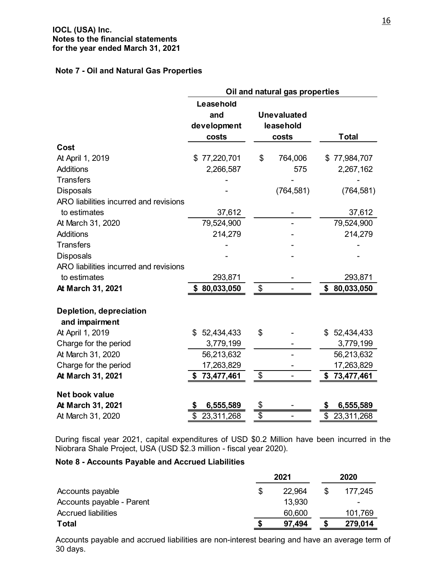#### **Note 7 - Oil and Natural Gas Properties**

|                                           | Oil and natural gas properties           |                                          |                   |  |
|-------------------------------------------|------------------------------------------|------------------------------------------|-------------------|--|
|                                           | Leasehold<br>and<br>development<br>costs | <b>Unevaluated</b><br>leasehold<br>costs | <b>Total</b>      |  |
| Cost                                      |                                          |                                          |                   |  |
| At April 1, 2019                          | 77,220,701<br>\$                         | \$<br>764,006                            | \$77,984,707      |  |
| <b>Additions</b>                          | 2,266,587                                | 575                                      | 2,267,162         |  |
| <b>Transfers</b>                          |                                          |                                          |                   |  |
| <b>Disposals</b>                          |                                          | (764, 581)                               | (764, 581)        |  |
| ARO liabilities incurred and revisions    |                                          |                                          |                   |  |
| to estimates                              | 37,612                                   |                                          | 37,612            |  |
| At March 31, 2020                         | 79,524,900                               |                                          | 79,524,900        |  |
| <b>Additions</b>                          | 214,279                                  |                                          | 214,279           |  |
| <b>Transfers</b>                          |                                          |                                          |                   |  |
| <b>Disposals</b>                          |                                          |                                          |                   |  |
| ARO liabilities incurred and revisions    |                                          |                                          |                   |  |
| to estimates                              | 293,871                                  |                                          | 293,871           |  |
| At March 31, 2021                         | \$80,033,050                             | \$                                       | 80,033,050<br>\$  |  |
| Depletion, depreciation<br>and impairment |                                          |                                          |                   |  |
| At April 1, 2019                          | \$<br>52,434,433                         | \$                                       | 52,434,433<br>\$. |  |
| Charge for the period                     | 3,779,199                                |                                          | 3,779,199         |  |
| At March 31, 2020                         | 56,213,632                               |                                          | 56,213,632        |  |
| Charge for the period                     | 17,263,829                               |                                          | 17,263,829        |  |
| At March 31, 2021                         | \$73,477,461                             | \$                                       | \$73,477,461      |  |
| Net book value                            |                                          |                                          |                   |  |
| At March 31, 2021                         | 6,555,589<br>S                           | \$                                       | 6,555,589<br>\$   |  |
| At March 31, 2020                         | \$<br>23,311,268                         | $\overline{\$}$                          | \$<br>23,311,268  |  |

During fiscal year 2021, capital expenditures of USD \$0.2 Million have been incurred in the Niobrara Shale Project, USA (USD \$2.3 million - fiscal year 2020).

## **Note 8 - Accounts Payable and Accrued Liabilities**

|                            | 2021 |        | 2020 |         |
|----------------------------|------|--------|------|---------|
| Accounts payable           | S    | 22.964 |      | 177,245 |
| Accounts payable - Parent  |      | 13,930 |      | ۰       |
| <b>Accrued liabilities</b> |      | 60,600 |      | 101,769 |
| <b>Total</b>               |      | 97,494 |      | 279,014 |

Accounts payable and accrued liabilities are non-interest bearing and have an average term of 30 days.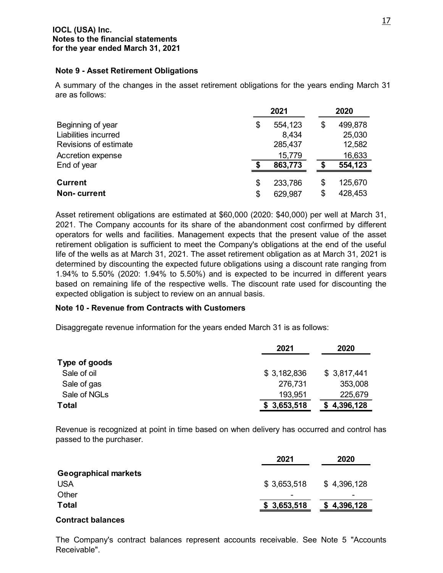#### **Note 9 - Asset Retirement Obligations**

A summary of the changes in the asset retirement obligations for the years ending March 31 are as follows:

|                       | 2021 |         | 2020 |         |
|-----------------------|------|---------|------|---------|
| Beginning of year     | \$   | 554,123 | \$   | 499,878 |
| Liabilities incurred  |      | 8,434   |      | 25,030  |
| Revisions of estimate |      | 285,437 |      | 12,582  |
| Accretion expense     |      | 15,779  |      | 16,633  |
| End of year           |      | 863,773 | æ    | 554,123 |
| <b>Current</b>        | \$   | 233,786 | \$   | 125,670 |
| <b>Non-current</b>    | \$   | 629,987 | \$   | 428,453 |

Asset retirement obligations are estimated at \$60,000 (2020: \$40,000) per well at March 31, 2021. The Company accounts for its share of the abandonment cost confirmed by different operators for wells and facilities. Management expects that the present value of the asset retirement obligation is sufficient to meet the Company's obligations at the end of the useful life of the wells as at March 31, 2021. The asset retirement obligation as at March 31, 2021 is determined by discounting the expected future obligations using a discount rate ranging from 1.94% to 5.50% (2020: 1.94% to 5.50%) and is expected to be incurred in different years based on remaining life of the respective wells. The discount rate used for discounting the expected obligation is subject to review on an annual basis.

#### **Note 10 - Revenue from Contracts with Customers**

Disaggregate revenue information for the years ended March 31 is as follows:

|               | 2021        | 2020        |
|---------------|-------------|-------------|
| Type of goods |             |             |
| Sale of oil   | \$3,182,836 | \$3,817,441 |
| Sale of gas   | 276,731     | 353,008     |
| Sale of NGLs  | 193,951     | 225,679     |
| <b>Total</b>  | \$3,653,518 | \$4,396,128 |

Revenue is recognized at point in time based on when delivery has occurred and control has passed to the purchaser.

|                             | 2021        | 2020        |
|-----------------------------|-------------|-------------|
| <b>Geographical markets</b> |             |             |
| <b>USA</b>                  | \$3,653,518 | \$4,396,128 |
| Other                       |             |             |
| <b>Total</b>                | \$3,653,518 | \$4,396,128 |

#### **Contract balances**

The Company's contract balances represent accounts receivable. See Note 5 "Accounts Receivable".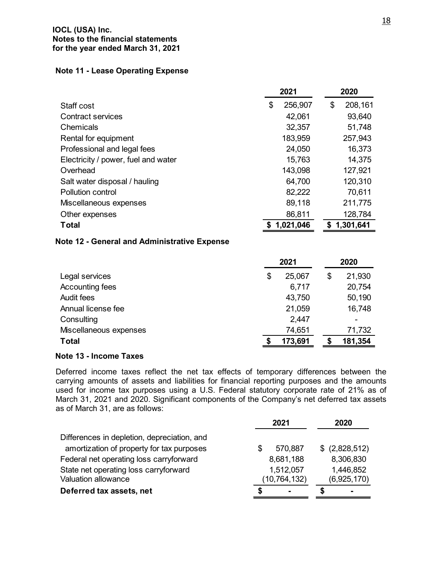#### **IOCL (USA) Inc. Notes to the financial statements for the year ended March 31, 2021**

#### **Note 11 - Lease Operating Expense**

|                                     | 2021          | 2020 |           |  |
|-------------------------------------|---------------|------|-----------|--|
| Staff cost                          | \$<br>256,907 | \$   | 208,161   |  |
| Contract services                   | 42,061        |      | 93,640    |  |
| Chemicals                           | 32,357        |      | 51,748    |  |
| Rental for equipment                | 183,959       |      | 257,943   |  |
| Professional and legal fees         | 24,050        |      | 16,373    |  |
| Electricity / power, fuel and water | 15,763        |      | 14,375    |  |
| Overhead                            | 143,098       |      | 127,921   |  |
| Salt water disposal / hauling       | 64,700        |      | 120,310   |  |
| <b>Pollution control</b>            | 82,222        |      | 70,611    |  |
| Miscellaneous expenses              | 89,118        |      | 211,775   |  |
| Other expenses                      | 86,811        |      | 128,784   |  |
| <b>Total</b>                        | 1,021,046     |      | 1,301,641 |  |

#### **Note 12 - General and Administrative Expense**

|                        | 2021 |         |    | 2020    |  |  |
|------------------------|------|---------|----|---------|--|--|
| Legal services         | \$   | 25,067  | \$ | 21,930  |  |  |
| Accounting fees        |      | 6,717   |    | 20,754  |  |  |
| <b>Audit fees</b>      |      | 43,750  |    | 50,190  |  |  |
| Annual license fee     |      | 21,059  |    | 16,748  |  |  |
| Consulting             |      | 2,447   |    |         |  |  |
| Miscellaneous expenses |      | 74,651  |    | 71,732  |  |  |
| <b>Total</b>           |      | 173,691 |    | 181,354 |  |  |

#### **Note 13 - Income Taxes**

Deferred income taxes reflect the net tax effects of temporary differences between the carrying amounts of assets and liabilities for financial reporting purposes and the amounts used for income tax purposes using a U.S. Federal statutory corporate rate of 21% as of March 31, 2021 and 2020. Significant components of the Company's net deferred tax assets as of March 31, are as follows:

|                                             | 2021                | 2020            |  |  |
|---------------------------------------------|---------------------|-----------------|--|--|
| Differences in depletion, depreciation, and |                     |                 |  |  |
| amortization of property for tax purposes   | 570,887             | $$$ (2,828,512) |  |  |
| Federal net operating loss carryforward     | 8,681,188           | 8,306,830       |  |  |
| State net operating loss carryforward       | 1,512,057           | 1,446,852       |  |  |
| Valuation allowance                         | (10, 764, 132)      | (6,925,170)     |  |  |
| Deferred tax assets, net                    | S<br>$\blacksquare$ | $\blacksquare$  |  |  |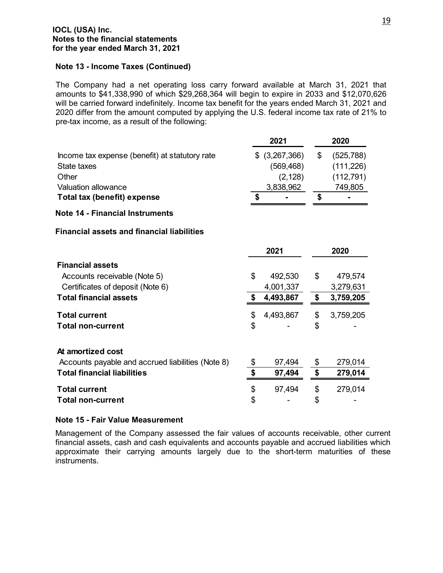#### **IOCL (USA) Inc. Notes to the financial statements for the year ended March 31, 2021**

#### **Note 13 - Income Taxes (Continued)**

The Company had a net operating loss carry forward available at March 31, 2021 that amounts to \$41,338,990 of which \$29,268,364 will begin to expire in 2033 and \$12,070,626 will be carried forward indefinitely. Income tax benefit for the years ended March 31, 2021 and 2020 differ from the amount computed by applying the U.S. federal income tax rate of 21% to pre-tax income, as a result of the following:

|                                                   |    | 2021            | 2020             |
|---------------------------------------------------|----|-----------------|------------------|
| Income tax expense (benefit) at statutory rate    |    | $$$ (3,267,366) | \$<br>(525, 788) |
| State taxes                                       |    | (569, 468)      | (111, 226)       |
| Other                                             |    | (2, 128)        | (112, 791)       |
| <b>Valuation allowance</b>                        |    | 3,838,962       | 749,805          |
| Total tax (benefit) expense                       | \$ |                 | \$               |
| <b>Note 14 - Financial Instruments</b>            |    |                 |                  |
| <b>Financial assets and financial liabilities</b> |    |                 |                  |
|                                                   |    | 2021            | 2020             |
| <b>Financial assets</b>                           |    |                 |                  |
| Accounts receivable (Note 5)                      | \$ | 492,530         | \$<br>479,574    |
| Certificates of deposit (Note 6)                  |    | 4,001,337       | 3,279,631        |
| <b>Total financial assets</b>                     | \$ | 4,493,867       | \$<br>3,759,205  |
| <b>Total current</b>                              | \$ | 4,493,867       | \$<br>3,759,205  |
| <b>Total non-current</b>                          | \$ |                 | \$               |
| At amortized cost                                 |    |                 |                  |
| Accounts payable and accrued liabilities (Note 8) | \$ | 97,494          | \$<br>279,014    |
| <b>Total financial liabilities</b>                | \$ | 97,494          | \$<br>279,014    |
|                                                   |    |                 |                  |
| <b>Total current</b>                              | \$ | 97,494          | \$<br>279,014    |
| <b>Total non-current</b>                          | \$ |                 | \$               |

#### **Note 15 - Fair Value Measurement**

Management of the Company assessed the fair values of accounts receivable, other current financial assets, cash and cash equivalents and accounts payable and accrued liabilities which approximate their carrying amounts largely due to the short-term maturities of these instruments.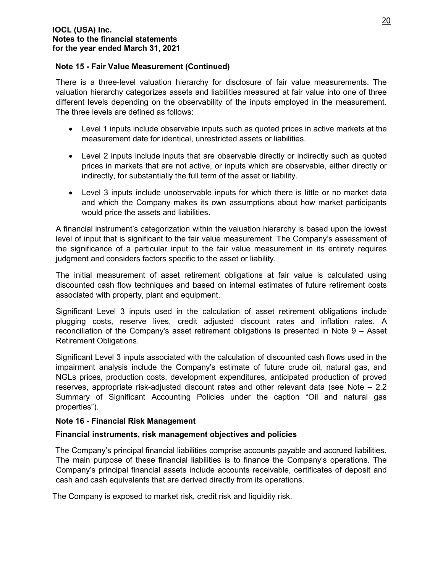#### **Note 15 - Fair Value Measurement (Continued)**

There is a three-level valuation hierarchy for disclosure of fair value measurements. The valuation hierarchy categorizes assets and liabilities measured at fair value into one of three different levels depending on the observability of the inputs employed in the measurement. The three levels are defined as follows:

- Level 1 inputs include observable inputs such as quoted prices in active markets at the measurement date for identical, unrestricted assets or liabilities.
- Level 2 inputs include inputs that are observable directly or indirectly such as quoted prices in markets that are not active, or inputs which are observable, either directly or indirectly, for substantially the full term of the asset or liability.
- Level 3 inputs include unobservable inputs for which there is little or no market data and which the Company makes its own assumptions about how market participants would price the assets and liabilities.

A financial instrument's categorization within the valuation hierarchy is based upon the lowest level of input that is significant to the fair value measurement. The Company's assessment of the significance of a particular input to the fair value measurement in its entirety requires judgment and considers factors specific to the asset or liability.

The initial measurement of asset retirement obligations at fair value is calculated using discounted cash flow techniques and based on internal estimates of future retirement costs associated with property, plant and equipment.

Significant Level 3 inputs used in the calculation of asset retirement obligations include plugging costs, reserve lives, credit adjusted discount rates and inflation rates. A reconciliation of the Company's asset retirement obligations is presented in Note 9 – Asset Retirement Obligations.

Significant Level 3 inputs associated with the calculation of discounted cash flows used in the impairment analysis include the Company's estimate of future crude oil, natural gas, and NGLs prices, production costs, development expenditures, anticipated production of proved reserves, appropriate risk-adjusted discount rates and other relevant data (see Note – 2.2 Summary of Significant Accounting Policies under the caption "Oil and natural gas properties").

#### **Note 16 - Financial Risk Management**

#### **Financial instruments, risk management objectives and policies**

The Company's principal financial liabilities comprise accounts payable and accrued liabilities. The main purpose of these financial liabilities is to finance the Company's operations. The Company's principal financial assets include accounts receivable, certificates of deposit and cash and cash equivalents that are derived directly from its operations.

The Company is exposed to market risk, credit risk and liquidity risk.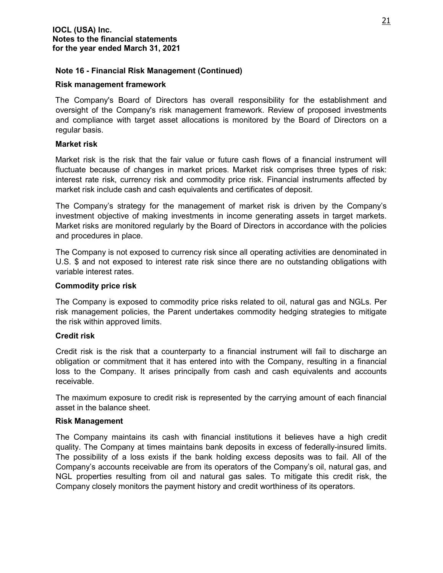#### **Note 16 - Financial Risk Management (Continued)**

#### **Risk management framework**

The Company's Board of Directors has overall responsibility for the establishment and oversight of the Company's risk management framework. Review of proposed investments and compliance with target asset allocations is monitored by the Board of Directors on a regular basis.

#### **Market risk**

Market risk is the risk that the fair value or future cash flows of a financial instrument will fluctuate because of changes in market prices. Market risk comprises three types of risk: interest rate risk, currency risk and commodity price risk. Financial instruments affected by market risk include cash and cash equivalents and certificates of deposit.

The Company's strategy for the management of market risk is driven by the Company's investment objective of making investments in income generating assets in target markets. Market risks are monitored regularly by the Board of Directors in accordance with the policies and procedures in place.

The Company is not exposed to currency risk since all operating activities are denominated in U.S. \$ and not exposed to interest rate risk since there are no outstanding obligations with variable interest rates.

#### **Commodity price risk**

The Company is exposed to commodity price risks related to oil, natural gas and NGLs. Per risk management policies, the Parent undertakes commodity hedging strategies to mitigate the risk within approved limits.

#### **Credit risk**

Credit risk is the risk that a counterparty to a financial instrument will fail to discharge an obligation or commitment that it has entered into with the Company, resulting in a financial loss to the Company. It arises principally from cash and cash equivalents and accounts receivable.

The maximum exposure to credit risk is represented by the carrying amount of each financial asset in the balance sheet.

#### **Risk Management**

The Company maintains its cash with financial institutions it believes have a high credit quality. The Company at times maintains bank deposits in excess of federally-insured limits. The possibility of a loss exists if the bank holding excess deposits was to fail. All of the Company's accounts receivable are from its operators of the Company's oil, natural gas, and NGL properties resulting from oil and natural gas sales. To mitigate this credit risk, the Company closely monitors the payment history and credit worthiness of its operators.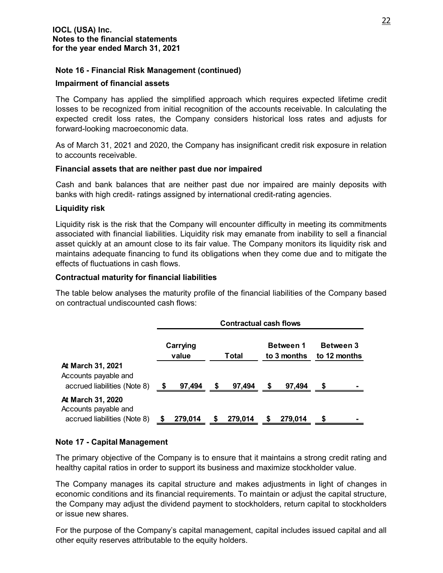#### **Note 16 - Financial Risk Management (continued)**

#### **Impairment of financial assets**

The Company has applied the simplified approach which requires expected lifetime credit losses to be recognized from initial recognition of the accounts receivable. In calculating the expected credit loss rates, the Company considers historical loss rates and adjusts for forward-looking macroeconomic data.

As of March 31, 2021 and 2020, the Company has insignificant credit risk exposure in relation to accounts receivable.

#### **Financial assets that are neither past due nor impaired**

Cash and bank balances that are neither past due nor impaired are mainly deposits with banks with high credit- ratings assigned by international credit-rating agencies.

#### **Liquidity risk**

Liquidity risk is the risk that the Company will encounter difficulty in meeting its commitments associated with financial liabilities. Liquidity risk may emanate from inability to sell a financial asset quickly at an amount close to its fair value. The Company monitors its liquidity risk and maintains adequate financing to fund its obligations when they come due and to mitigate the effects of fluctuations in cash flows.

#### **Contractual maturity for financial liabilities**

The table below analyses the maturity profile of the financial liabilities of the Company based on contractual undiscounted cash flows:

|                                                                                  | <b>Contractual cash flows</b> |         |       |         |                                 |         |                                  |  |
|----------------------------------------------------------------------------------|-------------------------------|---------|-------|---------|---------------------------------|---------|----------------------------------|--|
|                                                                                  | Carrying<br>value             |         | Total |         | <b>Between 1</b><br>to 3 months |         | <b>Between 3</b><br>to 12 months |  |
| At March 31, 2021<br>Accounts payable and<br>accrued liabilities (Note 8)        | S                             | 97,494  | S     | 97,494  | S.                              | 97,494  |                                  |  |
| <b>At March 31, 2020</b><br>Accounts payable and<br>accrued liabilities (Note 8) |                               | 279,014 | S     | 279,014 | S                               | 279,014 | S                                |  |

#### **Note 17 - Capital Management**

The primary objective of the Company is to ensure that it maintains a strong credit rating and healthy capital ratios in order to support its business and maximize stockholder value.

The Company manages its capital structure and makes adjustments in light of changes in economic conditions and its financial requirements. To maintain or adjust the capital structure, the Company may adjust the dividend payment to stockholders, return capital to stockholders or issue new shares.

For the purpose of the Company's capital management, capital includes issued capital and all other equity reserves attributable to the equity holders.